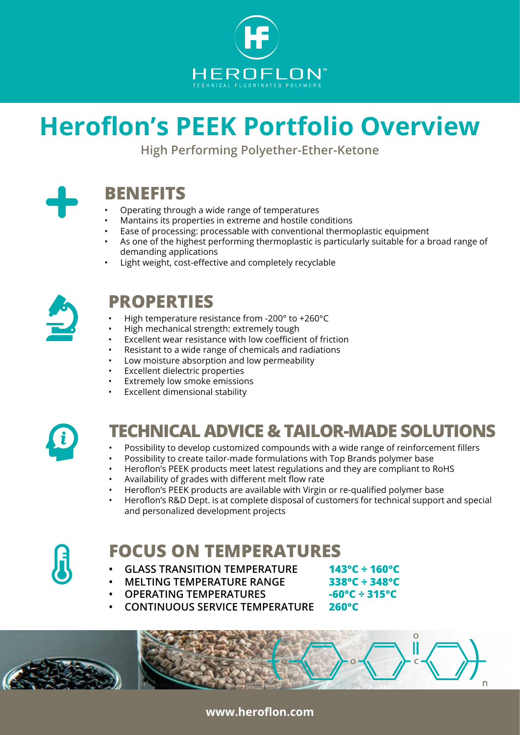

# **Heroflon's PEEK Portfolio Overview**

**High Performing Polyether-Ether-Ketone**



## **BENEFITS**

- Operating through a wide range of temperatures
- Mantains its properties in extreme and hostile conditions
- Ease of processing: processable with conventional thermoplastic equipment
- As one of the highest performing thermoplastic is particularly suitable for a broad range of demanding applications
- Light weight, cost-effective and completely recyclable



### **PROPERTIES**

- High temperature resistance from -200° to +260°C
- High mechanical strength: extremely tough
- Excellent wear resistance with low coefficient of friction
- Resistant to a wide range of chemicals and radiations
- Low moisture absorption and low permeability
- **Excellent dielectric properties**
- Extremely low smoke emissions
- Excellent dimensional stability



# **TECHNICAL ADVICE & TAILOR-MADE SOLUTIONS**

- Possibility to develop customized compounds with a wide range of reinforcement fillers
- Possibility to create tailor-made formulations with Top Brands polymer base
- Heroflon's PEEK products meet latest regulations and they are compliant to RoHS
- Availability of grades with different melt flow rate
- Heroflon's PEEK products are available with Virgin or re-qualified polymer base
- Heroflon's R&D Dept. is at complete disposal of customers for technical support and special and personalized development projects



### **FOCUS ON TEMPERATURES**

- **• GLASS TRANSITION TEMPERATURE 143°C ÷ 160°C**
	- **• MELTING TEMPERATURE RANGE 338°C ÷ 348°C**
- **• OPERATING TEMPERATURES -60°C ÷ 315°C**
- 

 $\Omega$ 

**• CONTINUOUS SERVICE TEMPERATURE 260°C**